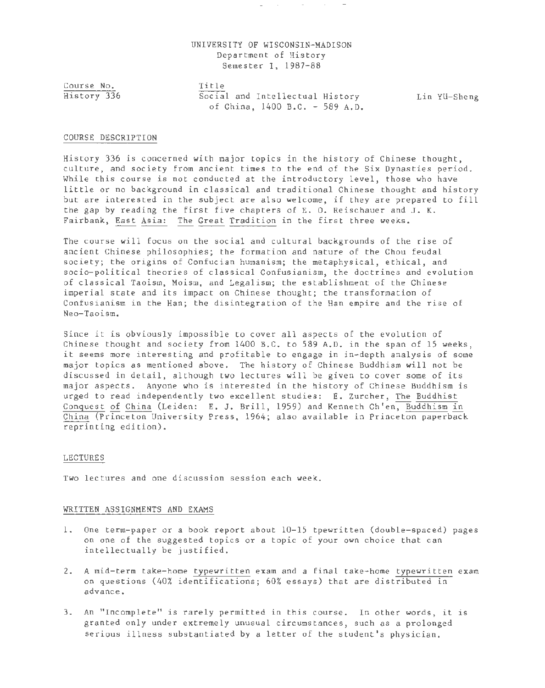# UNIVERSITY OF WISCONSIN-MADISON Department of History Semester I, 1987-88

Course No. History 336 Title Social and Intellectual History bin Yü-Sheng of China, 1400 B.C. - 589 A.D.

#### COURSE DESCRIPTION

History 336 is concerned with major topics in the history of Chinese thought, culture, and society from ancient times to the end of the Six Dynasties period. While this course is not conducted at the introductory level, those who have little or no background in classical and traditional Chinese thought and history but are interested in the subject are also welcome, if they are prepared to fill the gap by reading the first five chapters of E. 0. Reischauer and J. K. Fairbank, East Asia: The Great Tradition in the first three weeks.

The course will focus on the social and cultural backgrounds of the rise of ancient Chinese philosophies; the formation and nature of the Chou feudal society; the origins of Confucian humanism; the metaphysical, ethical, and socio-political theories of classical Confusianism, the doctrines and evolution of classical Taoism, Moism, and Legalism; the establishment of the Chinese imperial state and its impact on Chinese thought; the transformation of Confusianism in the Han; the disintegration of the Han empire and the rise of Neo-Taoism.

Since it is obviously impossible to cover all aspects of the evolution of Chinese thought and society from 1400 B.C. to 589 A.D. in the span of 15 weeks, it seems more interesting and profitable to engage in in-depth analysis of some major topics as mentioned above. The history of Chinese Buddhism will not be discussed in detail, although two lectures will be given to cover some of its major aspects. Anyone who is interested in the history of Chinese Buddhism is urged to read independently two excellent studies: E. Zurcher, The Buddhist Conquest of China (Leiden: E. J. Brill, 1959) and Kenneth Ch'en, Buddhism in China (Princeton University Press, 1964; also available in Princeton paperback reprinting edition).

### LECTURES

Two lectures and one discussion session each week.

# WRITTEN ASSIGNMENTS AND EXAMS

- 1. One term-paper or a book report about 10-15 tpewritten (double-spaced) pages on one of the suggested topics or a topic of your own choice that can intellectually be justified.
- 2. A mid-term take-home typewritten exam and a final take-home typewritten exam on questions (40% identifications; 60% essays) that are distributed in advance.
- 3. An "Incomplete" is rarely permitted in this course. In other words, it is granted only under extremely unusual circumstances, such as a prolonged serious illness substantiated by a letter of the student's physician.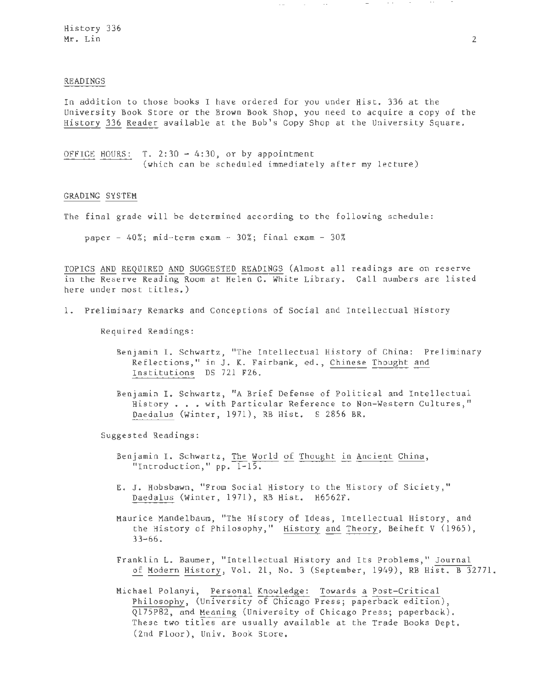### READINGS

In addition to those books I have ordered for you under Hist. 336 at the University Book Store or the Brown Book Shop, you need to acquire a copy of the History 336 Reader available at the Bob's Copy Shop at the University Square.

OFFICE HOURS:  $T. 2:30 - 4:30$ , or by appointment (which can be scheduled immediately after my lecture)

## GRADING SYSTEM

The final grade will be determined according to the following schedule:

paper -  $40\%$ ; mid-term exam -  $30\%$ ; final exam -  $30\%$ 

TOPICS AND REQUIRED AND SUGGESTED READINGS (Almost all readings are on reserve in the Reserve Reading Room at Helen C. White Library. Call numbers are listed here under most titles. )

1. Preliminary Remarks and Conceptions of Social and Intellectual History

Required Readings:

Benjamin I. Schwartz, "The Intellectual History of China: Preliminary Reflections, " in J. K. Fairbank, ed., Chinese Thought and Institutions DS 721 F26.

Benjamin I. Schwartz, "A Brief Defense of Political and Intellectual History . . . with Particular Reference to Non-Western Cultures," Daedalus (Winter, 1971), RB Hist. S 2856 BR.

Suggested Readings:

- Benjamin I. Schwartz, The World of Thought in Ancient China, "Introduction," pp.  $\overline{1-15}$ .
- E. J. Hobsbawn, " From Social History to the History of Siciety, " Daedalus (Winter, 1971), RB Hist. H6562F.

Maurice Mandelbaum, "The History of Ideas, Intellectual History, and the History of Philosophy," History and Theory, Beiheft V (1965),  $33 - 66$ .

- Franklin L. Baumer, " Intellectual History and Its Problems," Journal of Modern History, Vol. 21, No. 3 (September, 1949), RB Hist. B 32771.
- Michael Polanyi, Personal Knowledge: Towards a Post-Critical Philosophy, (University of Chicago Press; paperback edition), Ql75P82, and Meaning (University of Chicago Press; paperback) . These two titles are usually available at the Trade Books Dept. (2nd Floor), Univ. Book Store.

---- -- ---·- .... .. - .. - · ~··· -- -· .. ····---- -- -·--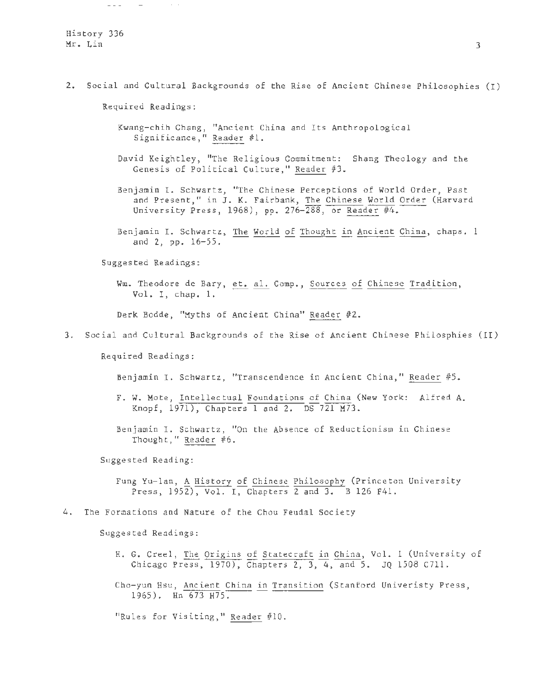2. Social and Cultural Backgrounds of the Rise of Ancient Chinese Philosophies (I)

Required Readings:

 $\sim$   $-$ 

 $\frac{1}{2}$ 

- Kwang-chih Chang, "Ancient China and Its Anthropological Significance," Reader #1.
- David Keightley, "The Religious Commitment: Shang Theology and the Genesis of Political Culture," Reader  $#3$ .
- Benjamin I. Schwartz, "The Chinese Perceptions of World Order, Past and Present," in J. K. Fairbank, The Chinese World Order (Harvard University Press, 1968), pp. 276-288, or Reader #4.
- Benjamin I. Schwartz, The World of Thought in Ancient China, chaps. 1 and 2, pp. 16-55.

Suggested Readings:

Wm. Theodore de Bary, et. al. Comp., Sources of Chinese Tradition, Vol. I, chap. 1.

Derk Bodde, "Myths of Ancient China" Reader #2.

3. Social and Cultural Backgrounds of the Rise of Ancient Chinese Philosphies (II)

Required Readings:

Benjamin I. Schwartz, "Transcendence in Ancient China," Reader #5.

- F. W. Mote, Intellectual Foundations of China (New York: Alfred A. Knopf, 1971), Chapters 1 and 2. DS 721 M73.
- Benjamin I. Schwartz, "On the Absence of Reductionism in Chinese Thought," Reader  $#6$ .

Suggested Reading:

Fung Yu-lan, A History of Chinese Philosophy (Princeton University Press,  $195\overline{2}$ , Vol. I, Chapters 2 and 3. B 126 F41.

## 4. The Formations and Nature of the Chou Feudal Society

Suggested Readings:

- H. G. Creel, The Origins of Statecraft in China, Vol. 1 (University of Chicago Press, 1970), Chapters 2, 3, 4, and 5. JQ 1508 C711.
- Cho-yun Hsu, Ancient China in Transition (Stanford Univeristy Press, 1965). Hn 673 H75.

"Rules for Visiting," Reader #10.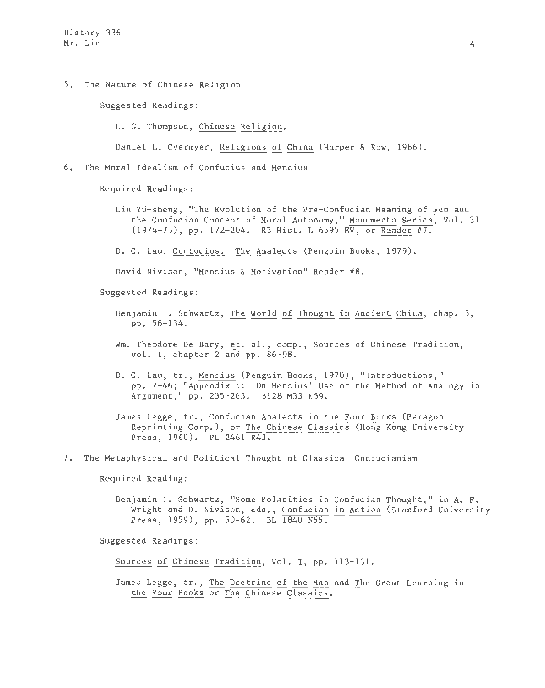5. The Nature of Chinese Religion

Suggested Readings:

L. G. Thompson, Chinese Religion.

Daniel L. Overmyer, Religions of China (Harper & Row, 1986) .

6. The Moral Idealism of Confucius and Mencius

Required Readings:

Lin Yü-sheng, "The Evolution of the Pre-Confucian Meaning of Jen and the Confucian Concept of Moral Autonomy," Monumenta Serica, Vol. 31 (1974-75), pp. 172-204. RB Hist. L 6595 EV, or Reader #7.

D. C. Lau, Confucius: The Analects (Penguin Books, 1979).

David Nivison, "Mencius & Motivation" Reader #8.

Suggested Readings:

- Benjamin I. Schwartz, The World of Thought in Ancient China, chap. 3, pp . 56-134.
- Wm. Theodore De Bary, et. al., comp., Sources of Chinese Tradition, vol. I, chapter 2 and pp. 86-98.
- D. C. Lau, tr., Mencius (Penguin Books, 1970), "Introductions," pp. 7-46; "Appendix 5: On Mencius' Use of the Method of Analogy in Argument," pp. 235-263. B128 M33 E59.
- James Legge, tr., Confucian Analects in the Four Books (Paragon Reprinting Corp.), or The Chinese Classics (Hong Kong University Press, 1960). PL 2461 R43 .

7. The Metaphysical and Political Thought of Classical Confucianism

Required Reading:

Benjamin I. Schwartz, "Some Polarities in Confucian Thought, " in A. F. Wright and D. Nivison, eds., Confucian in Action (Stanford University Press, 1959), pp. 50-62. BL 1840 N55.

Suggested Readings:

Sources of Chinese Tradition, Vol. I, pp. 113-131 .

James Legge, tr., The Doctrine of the Man and The Great Learning in the Four Books or The Chinese Classics.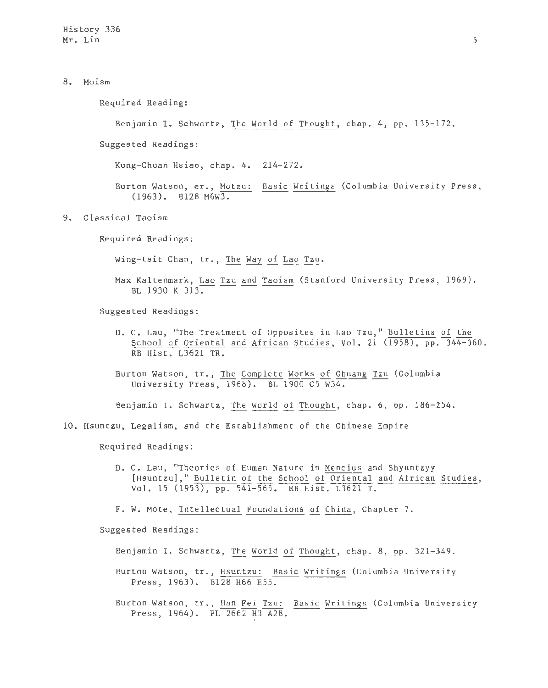8. Moism

Required Reading :

Benjamin I. Schwartz, The World of Thought, chap. 4, pp. 135-172.

Suggested Readings:

Kung-Chuan Hsiao, chap. 4. 214-272.

Burton Watson, er., Motzu: Basic Writings (Columbia University Press,  $(1963)$ . B128 M6W3.

9. Classical Taoism

Required Readings:

Wing-tsit Chan, tr., The Way of Lao Tzu.

Max Kaltenmark, <u>Lao Tzu and Taoism</u> (Stanford University Press, 1969).<br>BL 1930 K 313.

Suggested Readings:

D. C. Lau, "The Treatment of Opposites in Lao Tzu," Bulletins of the School of Oriental and African Studies, Vol. 21  $(1958)$ , pp.  $344-360$ . RB Hist. L3621 TR.

Burton Watson, tr., The Complete Works of Chuang Tzu (Columbia University Press,  $1968$ ). BL  $1900$  C5 W34.

Benjamin I. Schwartz, The World of Thought, chap. 6, pp. 186-254.

10. Hsuntzu, Legalism, and the Establishment of the Chinese Empire

Required Readings:

D. C. Lau, "Theories of Human Nature in Mencius and Shyuntzyy [Hsuntzu], " Bulletin of the School of Oriental and African Studies, Vol. 15 (1953), pp. 541-565. RB Hist. L3621 T.

F. W. Mote, Intellectual Foundations of China, Chapter 7.

Suggested Readings:

Benjamin I. Schwartz, The World of Thought, chap. 8, pp. 321-349.

Burton Watson, tr., Hsuntzu: Basic Writings (Columbia University Press, 1963). B128 H66 E55.

Burton Watson, tr. , Han Fei Tzu: Basic Writings (Columbia University Press, 1964). PL 2662 H3 A28.